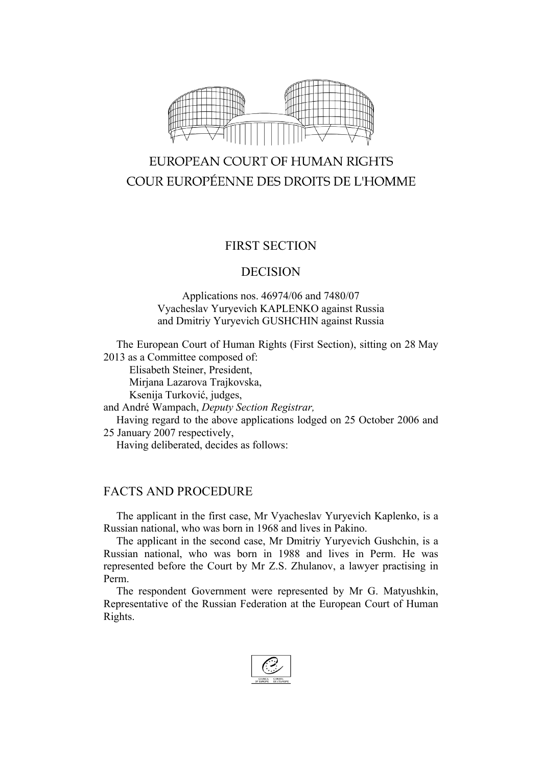

# EUROPEAN COURT OF HUMAN RIGHTS COUR EUROPÉENNE DES DROITS DE L'HOMME

## FIRST SECTION

#### DECISION

#### Applications nos. 46974/06 and 7480/07 Vyacheslav Yuryevich KAPLENKO against Russia and Dmitriy Yuryevich GUSHCHIN against Russia

The European Court of Human Rights (First Section), sitting on 28 May 2013 as a Committee composed of:

Elisabeth Steiner, President,

Mirjana Lazarova Trajkovska,

Ksenija Turković, judges,

and André Wampach, *Deputy Section Registrar,*

Having regard to the above applications lodged on 25 October 2006 and 25 January 2007 respectively,

Having deliberated, decides as follows:

# FACTS AND PROCEDURE

The applicant in the first case, Mr Vyacheslav Yuryevich Kaplenko, is a Russian national, who was born in 1968 and lives in Pakino.

The applicant in the second case, Mr Dmitriy Yuryevich Gushchin, is a Russian national, who was born in 1988 and lives in Perm. He was represented before the Court by Mr Z.S. Zhulanov, a lawyer practising in Perm.

The respondent Government were represented by Mr G. Matyushkin, Representative of the Russian Federation at the European Court of Human Rights.